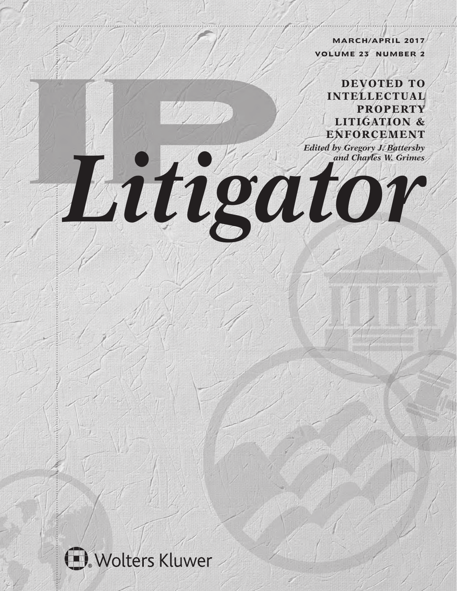**MARCH/APRIL 2017 VOLUME 23 NUMBER 2**

**DEVOTED TO INTELLECTUAL PROPERTY LITIGATION & ENFORCEMENT**

*Edited by Gregory J. Battersby Litigator* 

# Wolters Kluwer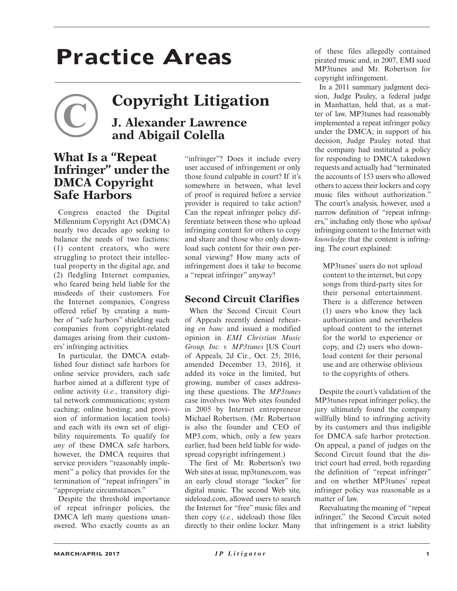## **Practice Areas**

### **Copyright Litigation J. Alexander Lawrence and Abigail Colella**

#### **What Is a "Repeat Infringer" under the DMCA Copyright Safe Harbors**

Congress enacted the Digital Millennium Copyright Act (DMCA) nearly two decades ago seeking to balance the needs of two factions: (1) content creators, who were struggling to protect their intellectual property in the digital age, and (2) fledgling Internet companies, who feared being held liable for the misdeeds of their customers. For the Internet companies, Congress offered relief by creating a number of "safe harbors" shielding such companies from copyright-related damages arising from their customers' infringing activities.

In particular, the DMCA established four distinct safe harbors for online service providers, each safe harbor aimed at a different type of online activity (*i.e.*, transitory digital network communications; system caching; online hosting; and provision of information location tools) and each with its own set of eligibility requirements. To qualify for *any* of these DMCA safe harbors, however, the DMCA requires that service providers "reasonably implement" a policy that provides for the termination of "repeat infringers" in "appropriate circumstances."

Despite the threshold importance of repeat infringer policies, the DMCA left many questions unanswered. Who exactly counts as an

"infringer"? Does it include every user accused of infringement or only those found culpable in court? If it's somewhere in between, what level of proof is required before a service provider is required to take action? Can the repeat infringer policy differentiate between those who upload infringing content for others to copy and share and those who only download such content for their own personal viewing? How many acts of infringement does it take to become a "repeat infringer" anyway?

#### **Second Circuit Clarifies**

When the Second Circuit Court of Appeals recently denied rehearing *en banc* and issued a modified opinion in *EMI Christian Music Group, Inc. v. MP3tunes* [US Court of Appeals, 2d Cir., Oct. 25, 2016, amended December 13, 2016], it added its voice in the limited, but growing, number of cases addressing these questions. The *MP3tunes* case involves two Web sites founded in 2005 by Internet entrepreneur Michael Robertson. (Mr. Robertson is also the founder and CEO of MP3.com, which, only a few years earlier, had been held liable for widespread copyright infringement.)

The first of Mr. Robertson's two Web sites at issue, mp3tunes.com, was an early cloud storage "locker" for digital music. The second Web site, sideload.com, allowed users to search the Internet for "free" music files and then copy (*i.e.*, sideload) those files directly to their online locker. Many

of these files allegedly contained pirated music and, in 2007, EMI sued MP3tunes and Mr. Robertson for copyright infringement.

In a 2011 summary judgment decision, Judge Pauley, a federal judge in Manhattan, held that, as a matter of law, MP3tunes had reasonably implemented a repeat infringer policy under the DMCA; in support of his decision, Judge Pauley noted that the company had instituted a policy for responding to DMCA takedown requests and actually had "terminated the accounts of 153 users who allowed others to access their lockers and copy music files without authorization." The court's analysis, however, used a narrow definition of "repeat infringers," including only those who *upload* infringing content to the Internet with *knowledge* that the content is infringing. The court explained:

MP3tunes' users do not upload content to the internet, but copy songs from third-party sites for their personal entertainment. There is a difference between (1) users who know they lack authorization and nevertheless upload content to the internet for the world to experience or copy, and (2) users who download content for their personal use and are otherwise oblivious to the copyrights of others.

Despite the court's validation of the MP3tunes repeat infringer policy, the jury ultimately found the company willfully blind to infringing activity by its customers and thus ineligible for DMCA safe harbor protection. On appeal, a panel of judges on the Second Circuit found that the district court had erred, both regarding the definition of "repeat infringer" and on whether MP3tunes' repeat infringer policy was reasonable as a matter of law.

Reevaluating the meaning of "repeat infringer," the Second Circuit noted that infringement is a strict liability